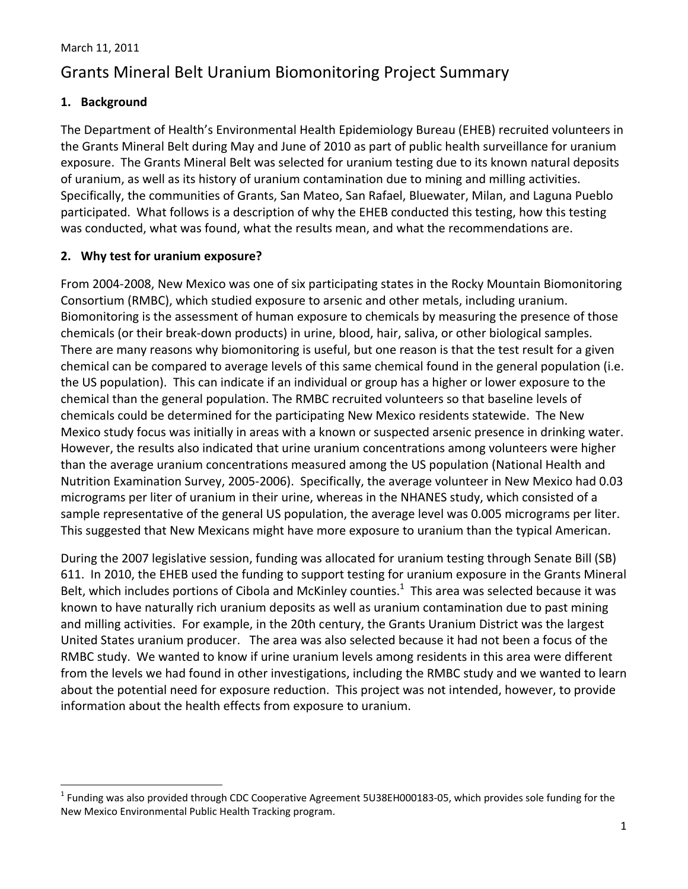# Grants Mineral Belt Uranium Biomonitoring Project Summary

# **1. Background**

The Department of Health's Environmental Health Epidemiology Bureau (EHEB) recruited volunteers in the Grants Mineral Belt during May and June of 2010 as part of public health surveillance for uranium exposure. The Grants Mineral Belt was selected for uranium testing due to its known natural deposits of uranium, as well as its history of uranium contamination due to mining and milling activities. Specifically, the communities of Grants, San Mateo, San Rafael, Bluewater, Milan, and Laguna Pueblo participated. What follows is a description of why the EHEB conducted this testing, how this testing was conducted, what was found, what the results mean, and what the recommendations are.

# **2. Why test for uranium exposure?**

From 2004‐2008, New Mexico was one of six participating states in the Rocky Mountain Biomonitoring Consortium (RMBC), which studied exposure to arsenic and other metals, including uranium. Biomonitoring is the assessment of human exposure to chemicals by measuring the presence of those chemicals (or their break‐down products) in urine, blood, hair, saliva, or other biological samples. There are many reasons why biomonitoring is useful, but one reason is that the test result for a given chemical can be compared to average levels of this same chemical found in the general population (i.e. the US population). This can indicate if an individual or group has a higher or lower exposure to the chemical than the general population. The RMBC recruited volunteers so that baseline levels of chemicals could be determined for the participating New Mexico residents statewide. The New Mexico study focus was initially in areas with a known or suspected arsenic presence in drinking water. However, the results also indicated that urine uranium concentrations among volunteers were higher than the average uranium concentrations measured among the US population (National Health and Nutrition Examination Survey, 2005‐2006). Specifically, the average volunteer in New Mexico had 0.03 micrograms per liter of uranium in their urine, whereas in the NHANES study, which consisted of a sample representative of the general US population, the average level was 0.005 micrograms per liter. This suggested that New Mexicans might have more exposure to uranium than the typical American.

During the 2007 legislative session, funding was allocated for uranium testing through Senate Bill (SB) 611. In 2010, the EHEB used the funding to support testing for uranium exposure in the Grants Mineral Belt, which includes portions of Cibola and McKinley counties.<sup>1</sup> This area was selected because it was known to have naturally rich uranium deposits as well as uranium contamination due to past mining and milling activities. For example, in the 20th century, the Grants Uranium District was the largest United States uranium producer. The area was also selected because it had not been a focus of the RMBC study. We wanted to know if urine uranium levels among residents in this area were different from the levels we had found in other investigations, including the RMBC study and we wanted to learn about the potential need for exposure reduction. This project was not intended, however, to provide information about the health effects from exposure to uranium.

 $1$  Funding was also provided through CDC Cooperative Agreement 5U38EH000183-05, which provides sole funding for the New Mexico Environmental Public Health Tracking program.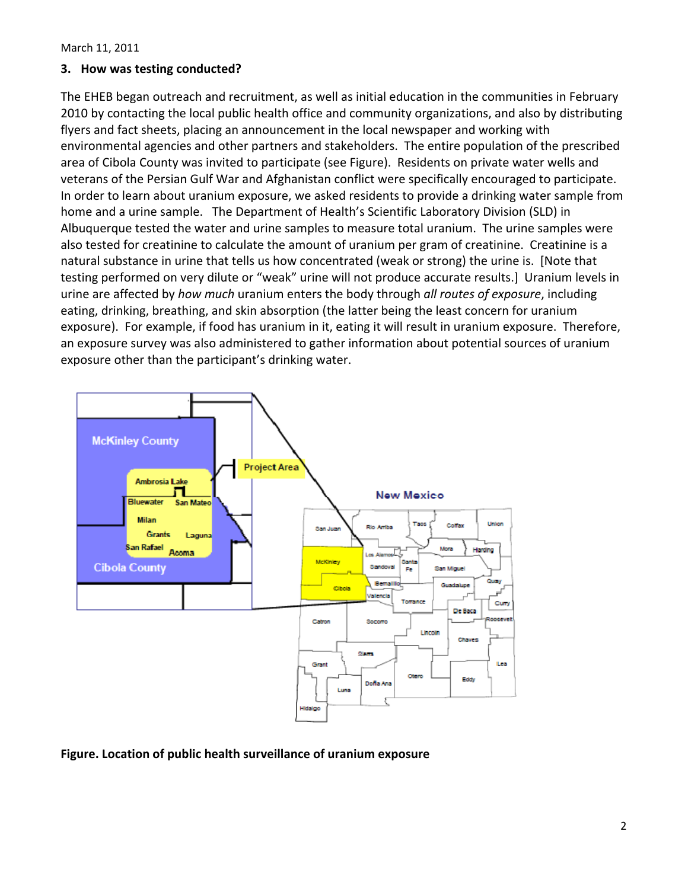#### **3. How was testing conducted?**

The EHEB began outreach and recruitment, as well as initial education in the communities in February 2010 by contacting the local public health office and community organizations, and also by distributing flyers and fact sheets, placing an announcement in the local newspaper and working with environmental agencies and other partners and stakeholders. The entire population of the prescribed area of Cibola County was invited to participate (see Figure). Residents on private water wells and veterans of the Persian Gulf War and Afghanistan conflict were specifically encouraged to participate. In order to learn about uranium exposure, we asked residents to provide a drinking water sample from home and a urine sample. The Department of Health's Scientific Laboratory Division (SLD) in Albuquerque tested the water and urine samples to measure total uranium. The urine samples were also tested for creatinine to calculate the amount of uranium per gram of creatinine. Creatinine is a natural substance in urine that tells us how concentrated (weak or strong) the urine is. [Note that testing performed on very dilute or "weak" urine will not produce accurate results.] Uranium levels in urine are affected by *how much* uranium enters the body through *all routes of exposure*, including eating, drinking, breathing, and skin absorption (the latter being the least concern for uranium exposure). For example, if food has uranium in it, eating it will result in uranium exposure. Therefore, an exposure survey was also administered to gather information about potential sources of uranium exposure other than the participant's drinking water.



#### **Figure. Location of public health surveillance of uranium exposure**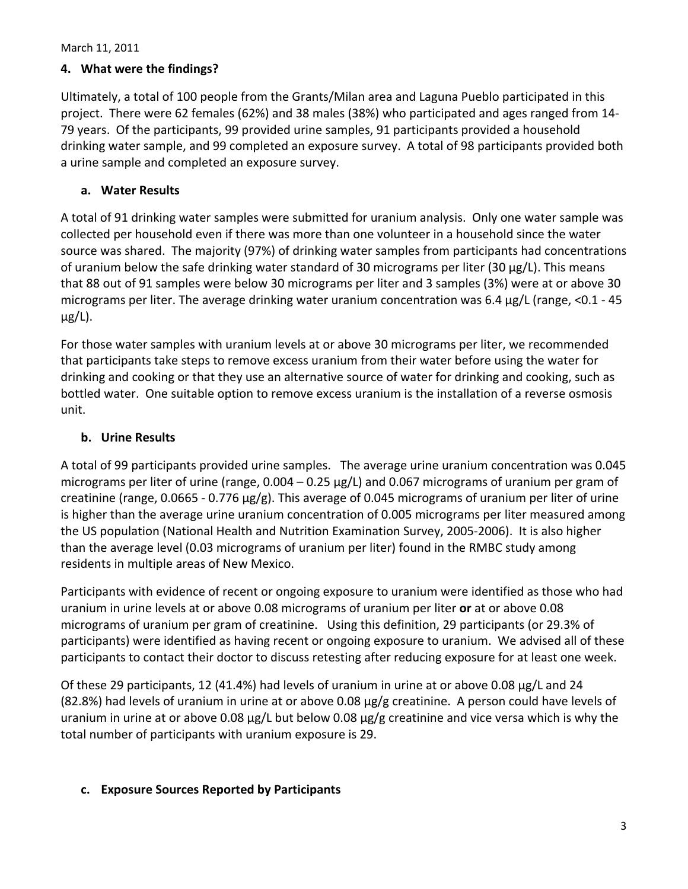## **4. What were the findings?**

Ultimately, a total of 100 people from the Grants/Milan area and Laguna Pueblo participated in this project. There were 62 females (62%) and 38 males (38%) who participated and ages ranged from 14‐ 79 years. Of the participants, 99 provided urine samples, 91 participants provided a household drinking water sample, and 99 completed an exposure survey. A total of 98 participants provided both a urine sample and completed an exposure survey.

## **a. Water Results**

A total of 91 drinking water samples were submitted for uranium analysis. Only one water sample was collected per household even if there was more than one volunteer in a household since the water source was shared. The majority (97%) of drinking water samples from participants had concentrations of uranium below the safe drinking water standard of 30 micrograms per liter (30  $\mu$ g/L). This means that 88 out of 91 samples were below 30 micrograms per liter and 3 samples (3%) were at or above 30 micrograms per liter. The average drinking water uranium concentration was 6.4 µg/L (range, <0.1 ‐ 45  $\mu$ g/L).

For those water samples with uranium levels at or above 30 micrograms per liter, we recommended that participants take steps to remove excess uranium from their water before using the water for drinking and cooking or that they use an alternative source of water for drinking and cooking, such as bottled water. One suitable option to remove excess uranium is the installation of a reverse osmosis unit.

# **b. Urine Results**

A total of 99 participants provided urine samples. The average urine uranium concentration was 0.045 micrograms per liter of urine (range, 0.004 – 0.25 µg/L) and 0.067 micrograms of uranium per gram of creatinine (range, 0.0665 - 0.776  $\mu$ g/g). This average of 0.045 micrograms of uranium per liter of urine is higher than the average urine uranium concentration of 0.005 micrograms per liter measured among the US population (National Health and Nutrition Examination Survey, 2005‐2006). It is also higher than the average level (0.03 micrograms of uranium per liter) found in the RMBC study among residents in multiple areas of New Mexico.

Participants with evidence of recent or ongoing exposure to uranium were identified as those who had uranium in urine levels at or above 0.08 micrograms of uranium per liter **or** at or above 0.08 micrograms of uranium per gram of creatinine. Using this definition, 29 participants (or 29.3% of participants) were identified as having recent or ongoing exposure to uranium. We advised all of these participants to contact their doctor to discuss retesting after reducing exposure for at least one week.

Of these 29 participants, 12 (41.4%) had levels of uranium in urine at or above 0.08 µg/L and 24 (82.8%) had levels of uranium in urine at or above 0.08 µg/g creatinine. A person could have levels of uranium in urine at or above 0.08 µg/L but below 0.08 µg/g creatinine and vice versa which is why the total number of participants with uranium exposure is 29.

# **c. Exposure Sources Reported by Participants**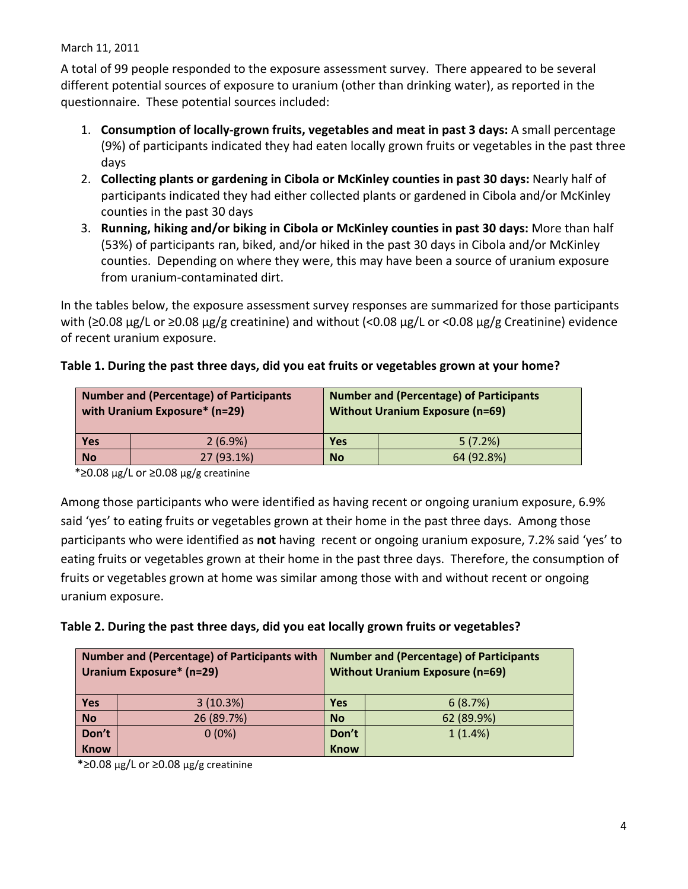A total of 99 people responded to the exposure assessment survey. There appeared to be several different potential sources of exposure to uranium (other than drinking water), as reported in the questionnaire. These potential sources included:

- 1. **Consumption of locally‐grown fruits, vegetables and meat in past 3 days:** A small percentage (9%) of participants indicated they had eaten locally grown fruits or vegetables in the past three days
- 2. **Collecting plants or gardening in Cibola or McKinley counties in past 30 days:** Nearly half of participants indicated they had either collected plants or gardened in Cibola and/or McKinley counties in the past 30 days
- 3. **Running, hiking and/or biking in Cibola or McKinley counties in past 30 days:** More than half (53%) of participants ran, biked, and/or hiked in the past 30 days in Cibola and/or McKinley counties. Depending on where they were, this may have been a source of uranium exposure from uranium‐contaminated dirt.

In the tables below, the exposure assessment survey responses are summarized for those participants with (≥0.08 µg/L or ≥0.08 µg/g creatinine) and without (<0.08 µg/L or <0.08 µg/g Creatinine) evidence of recent uranium exposure.

# **Table 1. During the past three days, did you eat fruits or vegetables grown at your home?**

| <b>Number and (Percentage) of Participants</b><br>with Uranium Exposure* (n=29) |            | <b>Number and (Percentage) of Participants</b><br><b>Without Uranium Exposure (n=69)</b> |            |
|---------------------------------------------------------------------------------|------------|------------------------------------------------------------------------------------------|------------|
| <b>Yes</b>                                                                      | $2(6.9\%)$ | <b>Yes</b>                                                                               | 5(7.2%)    |
| <b>No</b>                                                                       | 27 (93.1%) | <b>No</b>                                                                                | 64 (92.8%) |

\*≥0.08 µg/L or ≥0.08 µg/g creatinine

Among those participants who were identified as having recent or ongoing uranium exposure, 6.9% said 'yes' to eating fruits or vegetables grown at their home in the past three days. Among those participants who were identified as **not** having recent or ongoing uranium exposure, 7.2% said 'yes' to eating fruits or vegetables grown at their home in the past three days. Therefore, the consumption of fruits or vegetables grown at home was similar among those with and without recent or ongoing uranium exposure.

# **Table 2. During the past three days, did you eat locally grown fruits or vegetables?**

| <b>Number and (Percentage) of Participants with</b><br><b>Uranium Exposure* (n=29)</b> |            | <b>Number and (Percentage) of Participants</b><br><b>Without Uranium Exposure (n=69)</b> |            |
|----------------------------------------------------------------------------------------|------------|------------------------------------------------------------------------------------------|------------|
| <b>Yes</b>                                                                             | 3(10.3%)   | <b>Yes</b>                                                                               | 6(8.7%)    |
| <b>No</b>                                                                              | 26 (89.7%) | <b>No</b>                                                                                | 62 (89.9%) |
| Don't                                                                                  | $0(0\%)$   | Don't                                                                                    | $1(1.4\%)$ |
| <b>Know</b>                                                                            |            | <b>Know</b>                                                                              |            |

\*≥0.08 µg/L or ≥0.08 µg/g creatinine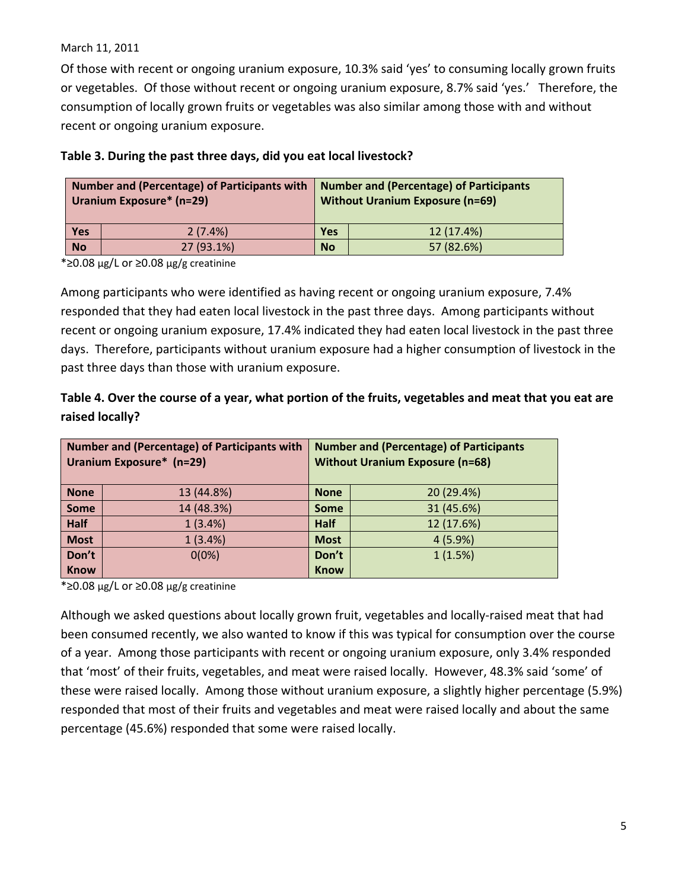Of those with recent or ongoing uranium exposure, 10.3% said 'yes' to consuming locally grown fruits or vegetables. Of those without recent or ongoing uranium exposure, 8.7% said 'yes.' Therefore, the consumption of locally grown fruits or vegetables was also similar among those with and without recent or ongoing uranium exposure.

| Number and (Percentage) of Participants with   Number and (Percentage) of Participants<br>Uranium Exposure* (n=29) |            | <b>Without Uranium Exposure (n=69)</b> |            |
|--------------------------------------------------------------------------------------------------------------------|------------|----------------------------------------|------------|
| Yes                                                                                                                | 2(7.4%)    | <b>Yes</b>                             | 12 (17.4%) |
| <b>No</b>                                                                                                          | 27 (93.1%) | <b>No</b>                              | 57 (82.6%) |

#### **Table 3. During the past three days, did you eat local livestock?**

\*≥0.08 µg/L or ≥0.08 µg/g creatinine

Among participants who were identified as having recent or ongoing uranium exposure, 7.4% responded that they had eaten local livestock in the past three days. Among participants without recent or ongoing uranium exposure, 17.4% indicated they had eaten local livestock in the past three days. Therefore, participants without uranium exposure had a higher consumption of livestock in the past three days than those with uranium exposure.

# Table 4. Over the course of a year, what portion of the fruits, vegetables and meat that you eat are **raised locally?**

| <b>Number and (Percentage) of Participants with</b><br>Uranium Exposure* (n=29) |            | <b>Number and (Percentage) of Participants</b><br><b>Without Uranium Exposure (n=68)</b> |            |
|---------------------------------------------------------------------------------|------------|------------------------------------------------------------------------------------------|------------|
| <b>None</b>                                                                     | 13 (44.8%) | <b>None</b>                                                                              | 20 (29.4%) |
| <b>Some</b>                                                                     | 14 (48.3%) | <b>Some</b>                                                                              | 31 (45.6%) |
| <b>Half</b>                                                                     | 1(3.4%)    | <b>Half</b>                                                                              | 12 (17.6%) |
| <b>Most</b>                                                                     | 1(3.4%)    | <b>Most</b>                                                                              | 4(5.9%)    |
| Don't                                                                           | $0(0\%)$   | Don't                                                                                    | 1(1.5%)    |
| <b>Know</b>                                                                     |            | <b>Know</b>                                                                              |            |

\*≥0.08 µg/L or ≥0.08 µg/g creatinine

Although we asked questions about locally grown fruit, vegetables and locally‐raised meat that had been consumed recently, we also wanted to know if this was typical for consumption over the course of a year. Among those participants with recent or ongoing uranium exposure, only 3.4% responded that 'most' of their fruits, vegetables, and meat were raised locally. However, 48.3% said 'some' of these were raised locally. Among those without uranium exposure, a slightly higher percentage (5.9%) responded that most of their fruits and vegetables and meat were raised locally and about the same percentage (45.6%) responded that some were raised locally.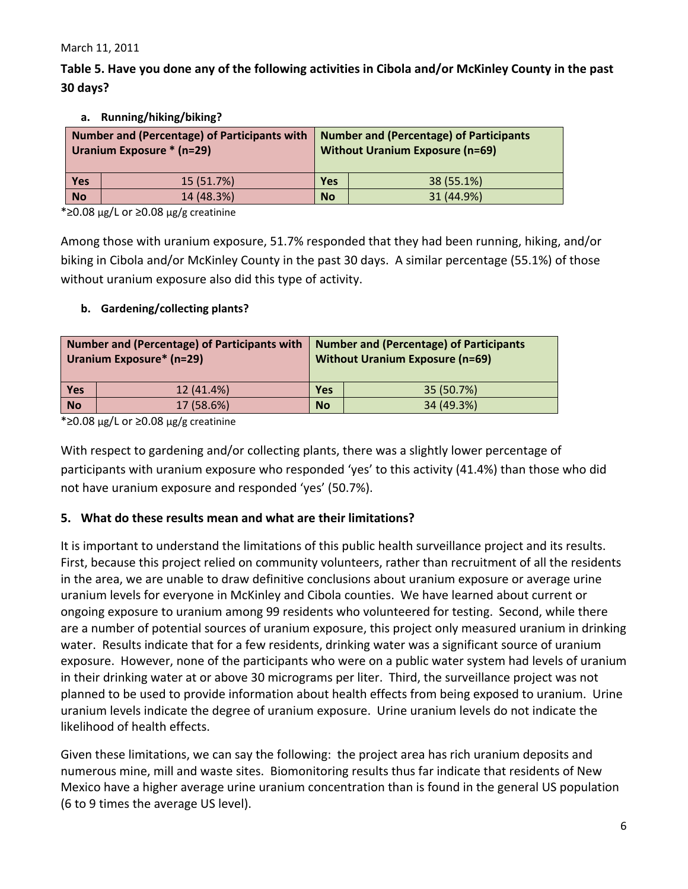Table 5. Have you done any of the following activities in Cibola and/or McKinley County in the past **30 days?**

| <b>Number and (Percentage) of Participants with</b><br>Uranium Exposure * (n=29) |            | <b>Number and (Percentage) of Participants</b><br><b>Without Uranium Exposure (n=69)</b> |            |
|----------------------------------------------------------------------------------|------------|------------------------------------------------------------------------------------------|------------|
| <b>Yes</b>                                                                       | 15 (51.7%) | Yes                                                                                      | 38 (55.1%) |
| <b>No</b>                                                                        | 14 (48.3%) | <b>No</b>                                                                                | 31 (44.9%) |

#### **a. Running/hiking/biking?**

\*≥0.08 µg/L or ≥0.08 µg/g creatinine

Among those with uranium exposure, 51.7% responded that they had been running, hiking, and/or biking in Cibola and/or McKinley County in the past 30 days. A similar percentage (55.1%) of those without uranium exposure also did this type of activity.

#### **b. Gardening/collecting plants?**

| Number and (Percentage) of Participants with<br><b>Uranium Exposure*</b> (n=29) |            | <b>Number and (Percentage) of Participants</b><br><b>Without Uranium Exposure (n=69)</b> |            |
|---------------------------------------------------------------------------------|------------|------------------------------------------------------------------------------------------|------------|
| Yes                                                                             | 12 (41.4%) | <b>Yes</b>                                                                               | 35 (50.7%) |
| No                                                                              | 17 (58.6%) | <b>No</b>                                                                                | 34 (49.3%) |

\*≥0.08 µg/L or ≥0.08 µg/g creatinine

With respect to gardening and/or collecting plants, there was a slightly lower percentage of participants with uranium exposure who responded 'yes' to this activity (41.4%) than those who did not have uranium exposure and responded 'yes' (50.7%).

# **5. What do these results mean and what are their limitations?**

It is important to understand the limitations of this public health surveillance project and its results. First, because this project relied on community volunteers, rather than recruitment of all the residents in the area, we are unable to draw definitive conclusions about uranium exposure or average urine uranium levels for everyone in McKinley and Cibola counties. We have learned about current or ongoing exposure to uranium among 99 residents who volunteered for testing. Second, while there are a number of potential sources of uranium exposure, this project only measured uranium in drinking water. Results indicate that for a few residents, drinking water was a significant source of uranium exposure. However, none of the participants who were on a public water system had levels of uranium in their drinking water at or above 30 micrograms per liter. Third, the surveillance project was not planned to be used to provide information about health effects from being exposed to uranium. Urine uranium levels indicate the degree of uranium exposure. Urine uranium levels do not indicate the likelihood of health effects.

Given these limitations, we can say the following: the project area has rich uranium deposits and numerous mine, mill and waste sites. Biomonitoring results thus far indicate that residents of New Mexico have a higher average urine uranium concentration than is found in the general US population (6 to 9 times the average US level).